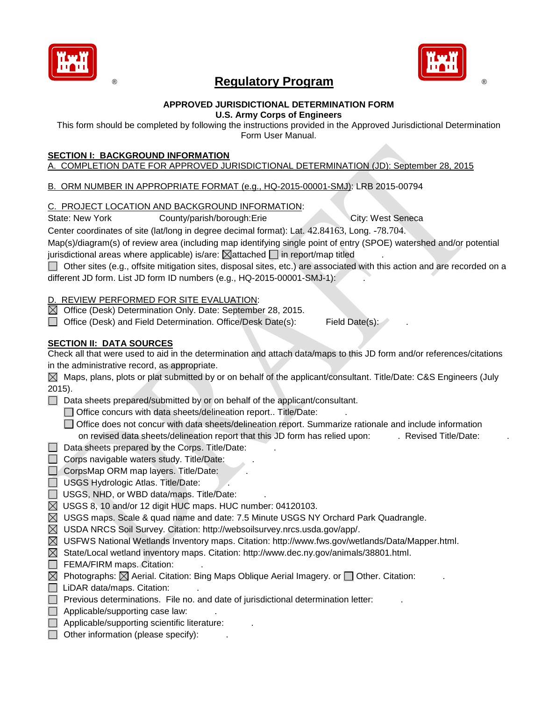

# **Regulatory Program Burgest Regulatory Program**



#### **APPROVED JURISDICTIONAL DETERMINATION FORM U.S. Army Corps of Engineers**

This form should be completed by following the instructions provided in the Approved Jurisdictional Determination Form User Manual.

# **SECTION I: BACKGROUND INFORMATION**

A. COMPLETION DATE FOR APPROVED JURISDICTIONAL DETERMINATION (JD): September 28, 2015

# B. ORM NUMBER IN APPROPRIATE FORMAT (e.g., HQ-2015-00001-SMJ): LRB 2015-00794

#### C. PROJECT LOCATION AND BACKGROUND INFORMATION:

State: New York County/parish/borough: Erie City: West Seneca

Center coordinates of site (lat/long in degree decimal format): Lat. 42.84163, Long. -78.704.

Map(s)/diagram(s) of review area (including map identifying single point of entry (SPOE) watershed and/or potential jurisdictional areas where applicable) is/are:  $\boxtimes$  attached  $\Box$  in report/map titled

Other sites (e.g., offsite mitigation sites, disposal sites, etc.) are associated with this action and are recorded on a different JD form. List JD form ID numbers (e.g., HQ-2015-00001-SMJ-1):

# D. REVIEW PERFORMED FOR SITE EVALUATION:

- $\boxtimes$  Office (Desk) Determination Only. Date: September 28, 2015.
- $\Box$  Office (Desk) and Field Determination. Office/Desk Date(s): Field Date(s):

# **SECTION II: DATA SOURCES**

Check all that were used to aid in the determination and attach data/maps to this JD form and/or references/citations in the administrative record, as appropriate.

 $\boxtimes$  Maps, plans, plots or plat submitted by or on behalf of the applicant/consultant. Title/Date: C&S Engineers (July 2015).

- Data sheets prepared/submitted by or on behalf of the applicant/consultant.
	- $\Box$  Office concurs with data sheets/delineation report.. Title/Date:
	- Office does not concur with data sheets/delineation report. Summarize rationale and include information on revised data sheets/delineation report that this JD form has relied upon: . Revised Title/Date:
- $\Box$  Data sheets prepared by the Corps. Title/Date:
- $\Box$  Corps navigable waters study. Title/Date:
- CorpsMap ORM map layers. Title/Date:
- □ USGS Hydrologic Atlas. Title/Date:
- $\Box$  USGS, NHD, or WBD data/maps. Title/Date:
- $\boxtimes$  USGS 8, 10 and/or 12 digit HUC maps. HUC number: 04120103.
- $\boxtimes$  USGS maps. Scale & quad name and date: 7.5 Minute USGS NY Orchard Park Quadrangle.
- $\boxtimes$  USDA NRCS Soil Survey. Citation: http://websoilsurvey.nrcs.usda.gov/app/.
- $\boxtimes$  USFWS National Wetlands Inventory maps. Citation: http://www.fws.gov/wetlands/Data/Mapper.html.
- $\boxtimes$  State/Local wetland inventory maps. Citation: http://www.dec.ny.gov/animals/38801.html.
- $\Box$  FEMA/FIRM maps. Citation:
- $\boxtimes$  Photographs:  $\boxtimes$  Aerial. Citation: Bing Maps Oblique Aerial Imagery. or  $\Box$  Other. Citation:
- $\Box$  LiDAR data/maps. Citation:
- $\Box$  Previous determinations. File no. and date of jurisdictional determination letter:
- $\Box$  Applicable/supporting case law:
- $\Box$  Applicable/supporting scientific literature:
- $\Box$  Other information (please specify):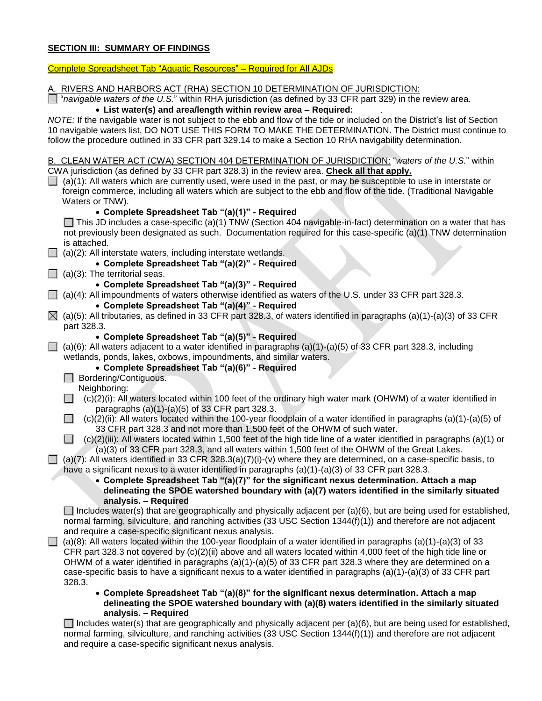# **SECTION III: SUMMARY OF FINDINGS**

## Complete Spreadsheet Tab "Aquatic Resources" – Required for All AJDs

|             | A. RIVERS AND HARBORS ACT (RHA) SECTION 10 DETERMINATION OF JURISDICTION:                                                                                                                                           |
|-------------|---------------------------------------------------------------------------------------------------------------------------------------------------------------------------------------------------------------------|
|             | $\Box$ "navigable waters of the U.S." within RHA jurisdiction (as defined by 33 CFR part 329) in the review area.                                                                                                   |
|             | • List water(s) and area/length within review area - Required:                                                                                                                                                      |
|             | NOTE: If the navigable water is not subject to the ebb and flow of the tide or included on the District's list of Section                                                                                           |
|             | 10 navigable waters list, DO NOT USE THIS FORM TO MAKE THE DETERMINATION. The District must continue to<br>follow the procedure outlined in 33 CFR part 329.14 to make a Section 10 RHA navigability determination. |
|             |                                                                                                                                                                                                                     |
|             | B. CLEAN WATER ACT (CWA) SECTION 404 DETERMINATION OF JURISDICTION: "waters of the U.S." within                                                                                                                     |
|             | CWA jurisdiction (as defined by 33 CFR part 328.3) in the review area. Check all that apply.                                                                                                                        |
|             | $\Box$ (a)(1): All waters which are currently used, were used in the past, or may be susceptible to use in interstate or                                                                                            |
|             | foreign commerce, including all waters which are subject to the ebb and flow of the tide. (Traditional Navigable                                                                                                    |
|             | Waters or TNW).                                                                                                                                                                                                     |
|             | • Complete Spreadsheet Tab "(a)(1)" - Required                                                                                                                                                                      |
|             | $\Box$ This JD includes a case-specific (a)(1) TNW (Section 404 navigable-in-fact) determination on a water that has                                                                                                |
|             | not previously been designated as such. Documentation required for this case-specific (a)(1) TNW determination<br>is attached.                                                                                      |
|             | (a)(2): All interstate waters, including interstate wetlands.                                                                                                                                                       |
|             | • Complete Spreadsheet Tab "(a)(2)" - Required                                                                                                                                                                      |
|             | (a)(3): The territorial seas.                                                                                                                                                                                       |
|             | • Complete Spreadsheet Tab "(a)(3)" - Required                                                                                                                                                                      |
|             | (a)(4): All impoundments of waters otherwise identified as waters of the U.S. under 33 CFR part 328.3.                                                                                                              |
|             | • Complete Spreadsheet Tab "(a)(4)" - Required                                                                                                                                                                      |
| $\boxtimes$ | $(a)(5)$ : All tributaries, as defined in 33 CFR part 328.3, of waters identified in paragraphs $(a)(1)-(a)(3)$ of 33 CFR                                                                                           |
|             | part 328.3.                                                                                                                                                                                                         |
|             | • Complete Spreadsheet Tab "(a)(5)" - Required<br>(a)(6): All waters adjacent to a water identified in paragraphs (a)(1)-(a)(5) of 33 CFR part 328.3, including                                                     |
|             | wetlands, ponds, lakes, oxbows, impoundments, and similar waters.                                                                                                                                                   |
|             | • Complete Spreadsheet Tab "(a)(6)" - Required                                                                                                                                                                      |
|             | Bordering/Contiguous.                                                                                                                                                                                               |
|             | Neighboring:                                                                                                                                                                                                        |
|             | (c)(2)(i): All waters located within 100 feet of the ordinary high water mark (OHWM) of a water identified in                                                                                                       |
|             | paragraphs (a)(1)-(a)(5) of 33 CFR part 328.3.                                                                                                                                                                      |
|             | $(c)(2)(ii)$ : All waters located within the 100-year floodplain of a water identified in paragraphs $(a)(1)-(a)(5)$ of<br>$\mathsf{L}$                                                                             |
|             | 33 CFR part 328.3 and not more than 1,500 feet of the OHWM of such water.<br>$(c)(2)(iii)$ : All waters located within 1,500 feet of the high tide line of a water identified in paragraphs (a)(1) or               |
|             | (a)(3) of 33 CFR part 328.3, and all waters within 1,500 feet of the OHWM of the Great Lakes.                                                                                                                       |
|             | (a)(7): All waters identified in 33 CFR 328.3(a)(7)(i)-(v) where they are determined, on a case-specific basis, to                                                                                                  |
|             | have a significant nexus to a water identified in paragraphs (a)(1)-(a)(3) of 33 CFR part 328.3.                                                                                                                    |
|             | • Complete Spreadsheet Tab "(a)(7)" for the significant nexus determination. Attach a map                                                                                                                           |
|             | delineating the SPOE watershed boundary with (a)(7) waters identified in the similarly situated                                                                                                                     |
|             | analysis. - Required                                                                                                                                                                                                |
|             | $\Box$ Includes water(s) that are geographically and physically adjacent per (a)(6), but are being used for established,                                                                                            |
|             | normal farming, silviculture, and ranching activities (33 USC Section 1344(f)(1)) and therefore are not adjacent<br>and require a case-specific significant nexus analysis.                                         |
|             | $(a)(8)$ : All waters located within the 100-year floodplain of a water identified in paragraphs $(a)(1)-(a)(3)$ of 33                                                                                              |
|             | CFR part 328.3 not covered by $(c)(2)(ii)$ above and all waters located within 4,000 feet of the high tide line or                                                                                                  |
|             | OHWM of a water identified in paragraphs $(a)(1)-(a)(5)$ of 33 CFR part 328.3 where they are determined on a                                                                                                        |
|             | case-specific basis to have a significant nexus to a water identified in paragraphs $(a)(1)-(a)(3)$ of 33 CFR part                                                                                                  |
|             | 328.3.                                                                                                                                                                                                              |
|             | • Complete Spreadsheet Tab "(a)(8)" for the significant nexus determination. Attach a map                                                                                                                           |
|             | delineating the SPOE watershed boundary with (a)(8) waters identified in the similarly situated                                                                                                                     |
|             | analysis. - Required<br>$\Box$ Includes water(s) that are geographically and physically adiacent per (a)(6), but are being used for established.                                                                    |

Includes water(s) that are geographically and physically adjacent per (a)(6), but are being used for established, normal farming, silviculture, and ranching activities (33 USC Section 1344(f)(1)) and therefore are not adjacent and require a case-specific significant nexus analysis.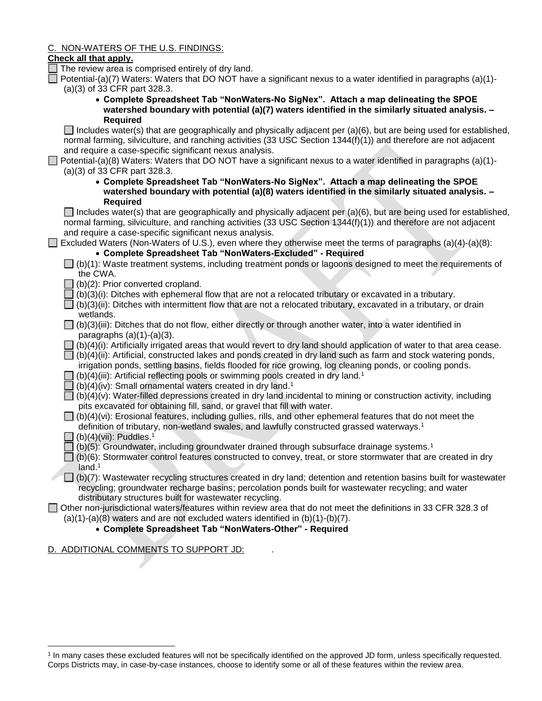# C. NON-WATERS OF THE U.S. FINDINGS:

## **Check all that apply.**

The review area is comprised entirely of dry land.

Potential-(a)(7) Waters: Waters that DO NOT have a significant nexus to a water identified in paragraphs (a)(1)-(a)(3) of 33 CFR part 328.3.

 **Complete Spreadsheet Tab "NonWaters-No SigNex". Attach a map delineating the SPOE watershed boundary with potential (a)(7) waters identified in the similarly situated analysis. – Required**

Includes water(s) that are geographically and physically adjacent per (a)(6), but are being used for established, normal farming, silviculture, and ranching activities (33 USC Section 1344(f)(1)) and therefore are not adjacent and require a case-specific significant nexus analysis.

Potential-(a)(8) Waters: Waters that DO NOT have a significant nexus to a water identified in paragraphs (a)(1)-(a)(3) of 33 CFR part 328.3.

 **Complete Spreadsheet Tab "NonWaters-No SigNex". Attach a map delineating the SPOE watershed boundary with potential (a)(8) waters identified in the similarly situated analysis. – Required**

 $\Box$  Includes water(s) that are geographically and physically adjacent per (a)(6), but are being used for established, normal farming, silviculture, and ranching activities (33 USC Section 1344(f)(1)) and therefore are not adjacent and require a case-specific significant nexus analysis.

|  |  | $\Box$ Excluded Waters (Non-Waters of U.S.), even where they otherwise meet the terms of paragraphs (a)(4)-(a)(8): |  |  |  |
|--|--|--------------------------------------------------------------------------------------------------------------------|--|--|--|
|  |  |                                                                                                                    |  |  |  |

#### **Complete Spreadsheet Tab "NonWaters-Excluded" - Required**

- $\Box$  (b)(1): Waste treatment systems, including treatment ponds or lagoons designed to meet the requirements of the CWA.
- $\Box$  (b)(2): Prior converted cropland.
- $\exists$  (b)(3)(i): Ditches with ephemeral flow that are not a relocated tributary or excavated in a tributary.
- $\Box$  (b)(3)(ii): Ditches with intermittent flow that are not a relocated tributary, excavated in a tributary, or drain wetlands.
- $\Box$  (b)(3)(iii): Ditches that do not flow, either directly or through another water, into a water identified in paragraphs  $(a)(1)-(a)(3)$ .
- (b)(4)(i): Artificially irrigated areas that would revert to dry land should application of water to that area cease.  $\Box$  (b)(4)(ii): Artificial, constructed lakes and ponds created in dry land such as farm and stock watering ponds, irrigation ponds, settling basins, fields flooded for rice growing, log cleaning ponds, or cooling ponds.
- $\Box$  (b)(4)(iii): Artificial reflecting pools or swimming pools created in dry land.<sup>1</sup>
- (b)(4)(iv): Small ornamental waters created in dry land. 1
- $\Box$  (b)(4)(v): Water-filled depressions created in dry land incidental to mining or construction activity, including pits excavated for obtaining fill, sand, or gravel that fill with water.
- $\Box$  (b)(4)(vi): Erosional features, including gullies, rills, and other ephemeral features that do not meet the definition of tributary, non-wetland swales, and lawfully constructed grassed waterways.<sup>1</sup>
	- $\overline{\phantom{a}}$  (b)(4)(vii): Puddles.<sup>1</sup>

l

 $($  (b)(5): Groundwater, including groundwater drained through subsurface drainage systems.<sup>1</sup>

 $\Box$  (b)(6): Stormwater control features constructed to convey, treat, or store stormwater that are created in dry land.<sup>1</sup>

 $\Box$  (b)(7): Wastewater recycling structures created in dry land; detention and retention basins built for wastewater recycling; groundwater recharge basins; percolation ponds built for wastewater recycling; and water distributary structures built for wastewater recycling.

Other non-jurisdictional waters/features within review area that do not meet the definitions in 33 CFR 328.3 of  $(a)(1)-(a)(8)$  waters and are not excluded waters identified in  $(b)(1)-(b)(7)$ .

#### **Complete Spreadsheet Tab "NonWaters-Other" - Required**

#### D. ADDITIONAL COMMENTS TO SUPPORT JD: .

<sup>&</sup>lt;sup>1</sup> In many cases these excluded features will not be specifically identified on the approved JD form, unless specifically requested. Corps Districts may, in case-by-case instances, choose to identify some or all of these features within the review area.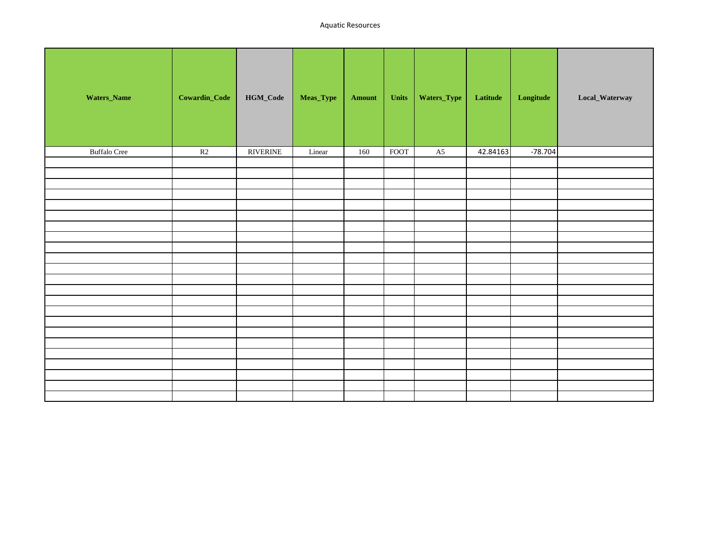| Waters_Name         | Cowardin_Code | HGM_Code        | Meas_Type | Amount | Units | Waters_Type    | Latitude | $\label{eq:cong} Longitude$ | Local_Waterway |
|---------------------|---------------|-----------------|-----------|--------|-------|----------------|----------|-----------------------------|----------------|
| <b>Buffalo Cree</b> | R2            | <b>RIVERINE</b> | Linear    | 160    | FOOT  | A <sub>5</sub> | 42.84163 | $-78.704$                   |                |
|                     |               |                 |           |        |       |                |          |                             |                |
|                     |               |                 |           |        |       |                |          |                             |                |
|                     |               |                 |           |        |       |                |          |                             |                |
|                     |               |                 |           |        |       |                |          |                             |                |
|                     |               |                 |           |        |       |                |          |                             |                |
|                     |               |                 |           |        |       |                |          |                             |                |
|                     |               |                 |           |        |       |                |          |                             |                |
|                     |               |                 |           |        |       |                |          |                             |                |
|                     |               |                 |           |        |       |                |          |                             |                |
|                     |               |                 |           |        |       |                |          |                             |                |
|                     |               |                 |           |        |       |                |          |                             |                |
|                     |               |                 |           |        |       |                |          |                             |                |
|                     |               |                 |           |        |       |                |          |                             |                |
|                     |               |                 |           |        |       |                |          |                             |                |
|                     |               |                 |           |        |       |                |          |                             |                |
|                     |               |                 |           |        |       |                |          |                             |                |
|                     |               |                 |           |        |       |                |          |                             |                |
|                     |               |                 |           |        |       |                |          |                             |                |
|                     |               |                 |           |        |       |                |          |                             |                |
|                     |               |                 |           |        |       |                |          |                             |                |
|                     |               |                 |           |        |       |                |          |                             |                |
|                     |               |                 |           |        |       |                |          |                             |                |